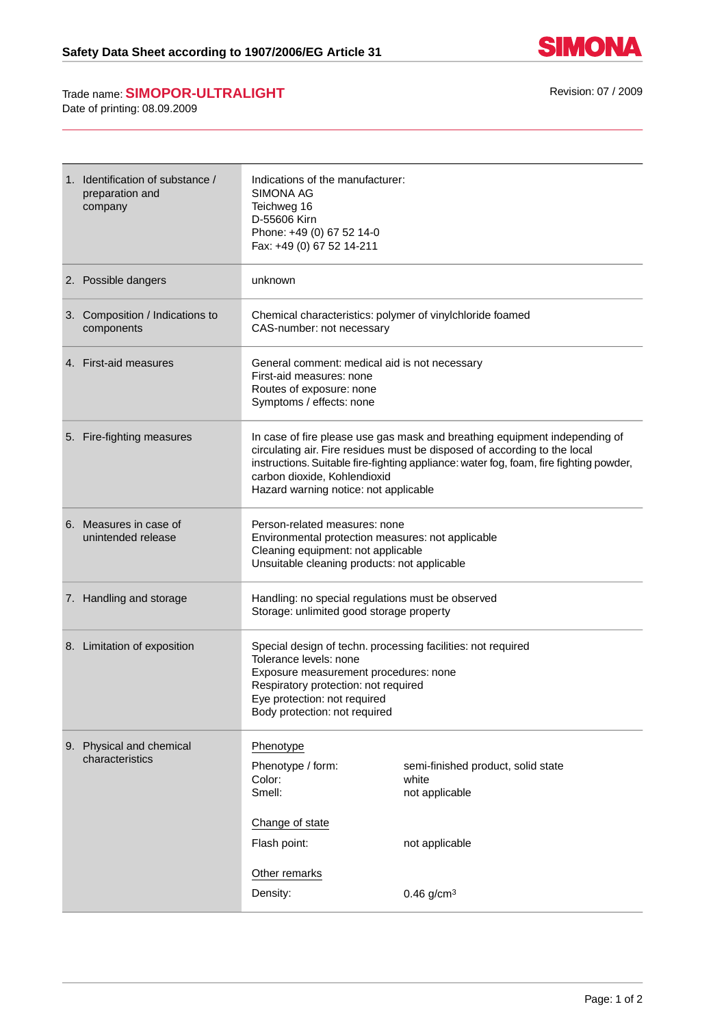

## Trade name: **SIMOPOR-ULTRALIGHT** Revision: 07 / 2009

Date of printing: 08.09.2009

| 1. Identification of substance /<br>preparation and<br>company | Indications of the manufacturer:<br><b>SIMONA AG</b><br>Teichweg 16<br>D-55606 Kirn<br>Phone: +49 (0) 67 52 14-0<br>Fax: +49 (0) 67 52 14-211                                                                                                                                                                              |                                                                                 |
|----------------------------------------------------------------|----------------------------------------------------------------------------------------------------------------------------------------------------------------------------------------------------------------------------------------------------------------------------------------------------------------------------|---------------------------------------------------------------------------------|
| 2. Possible dangers                                            | unknown                                                                                                                                                                                                                                                                                                                    |                                                                                 |
| 3. Composition / Indications to<br>components                  | Chemical characteristics: polymer of vinylchloride foamed<br>CAS-number: not necessary                                                                                                                                                                                                                                     |                                                                                 |
| 4. First-aid measures                                          | General comment: medical aid is not necessary<br>First-aid measures: none<br>Routes of exposure: none<br>Symptoms / effects: none                                                                                                                                                                                          |                                                                                 |
| 5. Fire-fighting measures                                      | In case of fire please use gas mask and breathing equipment independing of<br>circulating air. Fire residues must be disposed of according to the local<br>instructions. Suitable fire-fighting appliance: water fog, foam, fire fighting powder,<br>carbon dioxide, Kohlendioxid<br>Hazard warning notice: not applicable |                                                                                 |
| 6. Measures in case of<br>unintended release                   | Person-related measures: none<br>Environmental protection measures: not applicable<br>Cleaning equipment: not applicable<br>Unsuitable cleaning products: not applicable                                                                                                                                                   |                                                                                 |
| 7. Handling and storage                                        | Handling: no special regulations must be observed<br>Storage: unlimited good storage property                                                                                                                                                                                                                              |                                                                                 |
| 8. Limitation of exposition                                    | Special design of techn. processing facilities: not required<br>Tolerance levels: none<br>Exposure measurement procedures: none<br>Respiratory protection: not required<br>Eye protection: not required<br>Body protection: not required                                                                                   |                                                                                 |
| 9. Physical and chemical<br>characteristics                    | Phenotype<br>Phenotype / form:<br>Color:<br>Smell:<br>Change of state<br>Flash point:<br>Other remarks                                                                                                                                                                                                                     | semi-finished product, solid state<br>white<br>not applicable<br>not applicable |
|                                                                | Density:                                                                                                                                                                                                                                                                                                                   | $0.46$ g/cm <sup>3</sup>                                                        |